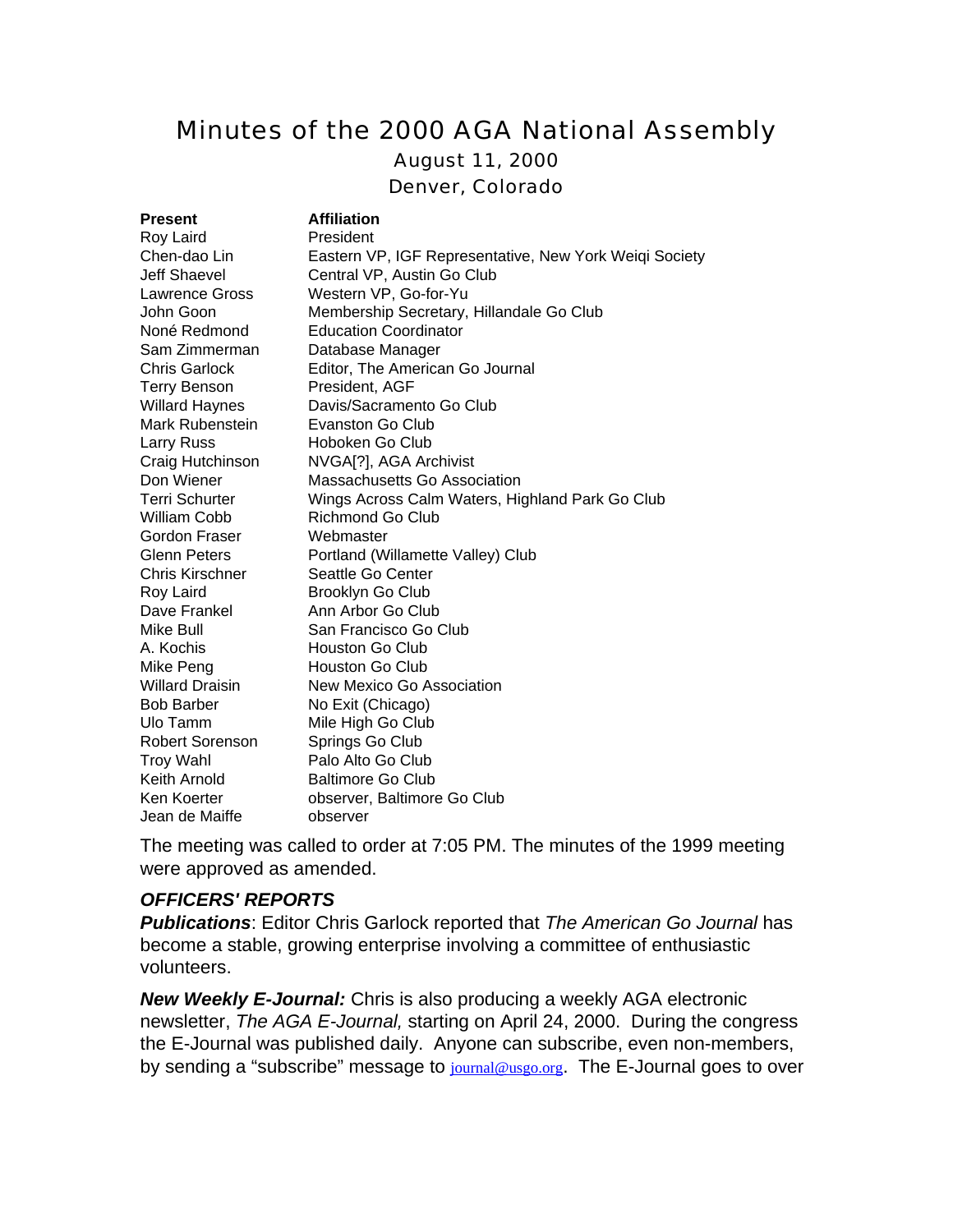# Minutes of the 2000 AGA National Assembly

August 11, 2000

Denver, Colorado

| <b>Present</b>         | <b>Affiliation</b>                                     |
|------------------------|--------------------------------------------------------|
| Roy Laird              | President                                              |
| Chen-dao Lin           | Eastern VP, IGF Representative, New York Weiqi Society |
| Jeff Shaevel           | Central VP, Austin Go Club                             |
| Lawrence Gross         | Western VP, Go-for-Yu                                  |
| John Goon              | Membership Secretary, Hillandale Go Club               |
| Noné Redmond           | <b>Education Coordinator</b>                           |
| Sam Zimmerman          | Database Manager                                       |
| <b>Chris Garlock</b>   | Editor, The American Go Journal                        |
| <b>Terry Benson</b>    | President, AGF                                         |
| <b>Willard Haynes</b>  | Davis/Sacramento Go Club                               |
| Mark Rubenstein        | Evanston Go Club                                       |
| Larry Russ             | Hoboken Go Club                                        |
| Craig Hutchinson       | NVGA[?], AGA Archivist                                 |
| Don Wiener             | Massachusetts Go Association                           |
| <b>Terri Schurter</b>  | Wings Across Calm Waters, Highland Park Go Club        |
| William Cobb           | Richmond Go Club                                       |
| Gordon Fraser          | Webmaster                                              |
| <b>Glenn Peters</b>    | Portland (Willamette Valley) Club                      |
| Chris Kirschner        | Seattle Go Center                                      |
| Roy Laird              | Brooklyn Go Club                                       |
| Dave Frankel           | Ann Arbor Go Club                                      |
| Mike Bull              | San Francisco Go Club                                  |
| A. Kochis              | Houston Go Club                                        |
| Mike Peng              | <b>Houston Go Club</b>                                 |
| <b>Willard Draisin</b> | New Mexico Go Association                              |
| <b>Bob Barber</b>      | No Exit (Chicago)                                      |
| Ulo Tamm               | Mile High Go Club                                      |
| Robert Sorenson        | Springs Go Club                                        |
| <b>Troy Wahl</b>       | Palo Alto Go Club                                      |
| Keith Arnold           | <b>Baltimore Go Club</b>                               |
| Ken Koerter            | observer, Baltimore Go Club                            |
| Jean de Maiffe         | observer                                               |

The meeting was called to order at 7:05 PM. The minutes of the 1999 meeting were approved as amended.

#### *OFFICERS' REPORTS*

*Publications*: Editor Chris Garlock reported that *The American Go Journal* has become a stable, growing enterprise involving a committee of enthusiastic volunteers.

*New Weekly E-Journal:* Chris is also producing a weekly AGA electronic newsletter, *The AGA E-Journal,* starting on April 24, 2000. During the congress the E-Journal was published daily. Anyone can subscribe, even non-members, by sending a "subscribe" message to journal@usgo.org. The E-Journal goes to over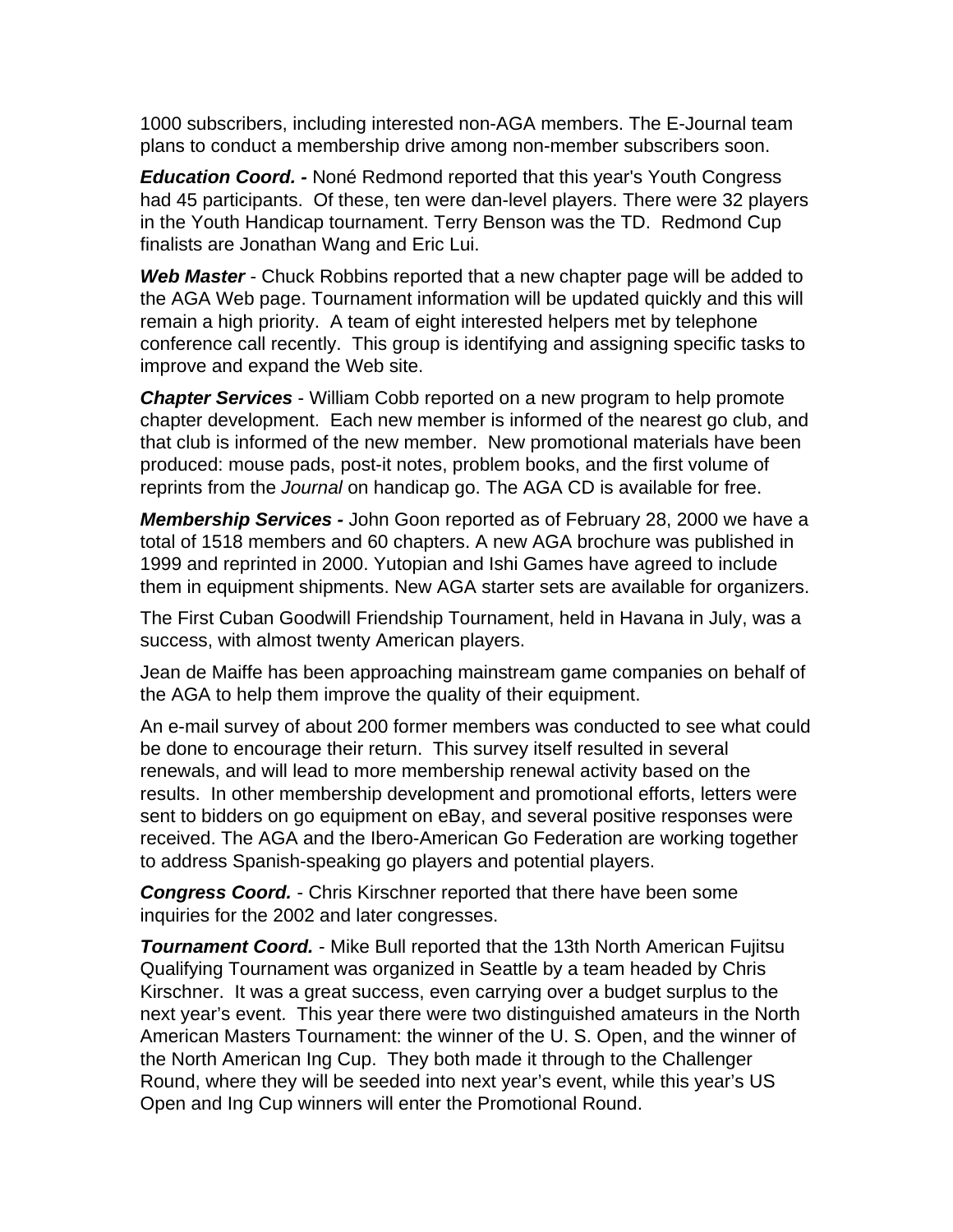1000 subscribers, including interested non-AGA members. The E-Journal team plans to conduct a membership drive among non-member subscribers soon.

*Education Coord. -* Noné Redmond reported that this year's Youth Congress had 45 participants. Of these, ten were dan-level players. There were 32 players in the Youth Handicap tournament. Terry Benson was the TD. Redmond Cup finalists are Jonathan Wang and Eric Lui.

*Web Master* - Chuck Robbins reported that a new chapter page will be added to the AGA Web page. Tournament information will be updated quickly and this will remain a high priority. A team of eight interested helpers met by telephone conference call recently. This group is identifying and assigning specific tasks to improve and expand the Web site.

*Chapter Services* - William Cobb reported on a new program to help promote chapter development. Each new member is informed of the nearest go club, and that club is informed of the new member. New promotional materials have been produced: mouse pads, post-it notes, problem books, and the first volume of reprints from the *Journal* on handicap go. The AGA CD is available for free.

*Membership Services -* John Goon reported as of February 28, 2000 we have a total of 1518 members and 60 chapters. A new AGA brochure was published in 1999 and reprinted in 2000. Yutopian and Ishi Games have agreed to include them in equipment shipments. New AGA starter sets are available for organizers.

The First Cuban Goodwill Friendship Tournament, held in Havana in July, was a success, with almost twenty American players.

Jean de Maiffe has been approaching mainstream game companies on behalf of the AGA to help them improve the quality of their equipment.

An e-mail survey of about 200 former members was conducted to see what could be done to encourage their return. This survey itself resulted in several renewals, and will lead to more membership renewal activity based on the results. In other membership development and promotional efforts, letters were sent to bidders on go equipment on eBay, and several positive responses were received. The AGA and the Ibero-American Go Federation are working together to address Spanish-speaking go players and potential players.

*Congress Coord.* - Chris Kirschner reported that there have been some inquiries for the 2002 and later congresses.

*Tournament Coord.* - Mike Bull reported that the 13th North American Fujitsu Qualifying Tournament was organized in Seattle by a team headed by Chris Kirschner. It was a great success, even carrying over a budget surplus to the next year's event. This year there were two distinguished amateurs in the North American Masters Tournament: the winner of the U. S. Open, and the winner of the North American Ing Cup. They both made it through to the Challenger Round, where they will be seeded into next year's event, while this year's US Open and Ing Cup winners will enter the Promotional Round.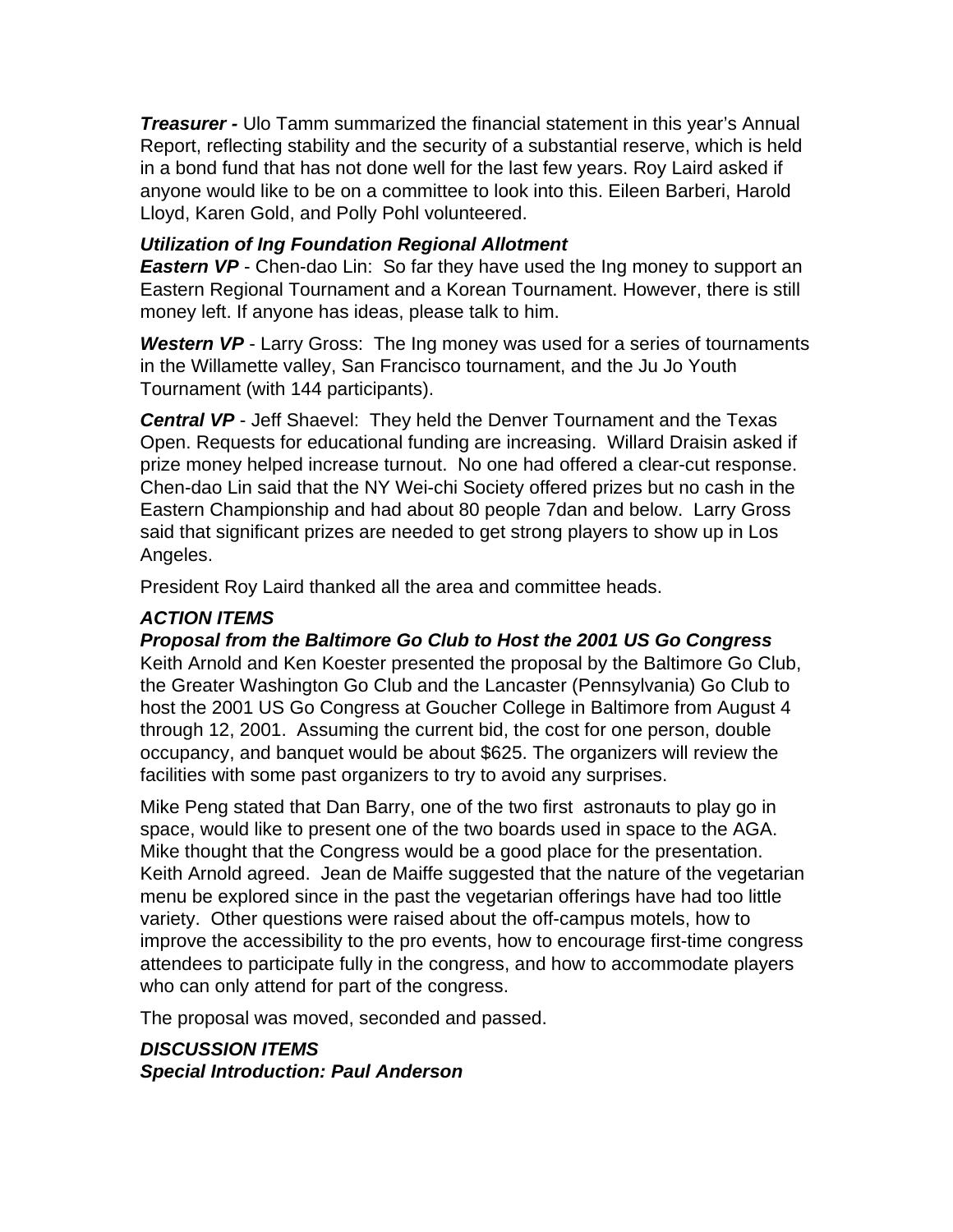*Treasurer -* Ulo Tamm summarized the financial statement in this year's Annual Report, reflecting stability and the security of a substantial reserve, which is held in a bond fund that has not done well for the last few years. Roy Laird asked if anyone would like to be on a committee to look into this. Eileen Barberi, Harold Lloyd, Karen Gold, and Polly Pohl volunteered.

## *Utilization of Ing Foundation Regional Allotment*

*Eastern VP* - Chen-dao Lin: So far they have used the Ing money to support an Eastern Regional Tournament and a Korean Tournament. However, there is still money left. If anyone has ideas, please talk to him.

*Western VP* - Larry Gross: The Ing money was used for a series of tournaments in the Willamette valley, San Francisco tournament, and the Ju Jo Youth Tournament (with 144 participants).

*Central VP* - Jeff Shaevel: They held the Denver Tournament and the Texas Open. Requests for educational funding are increasing. Willard Draisin asked if prize money helped increase turnout. No one had offered a clear-cut response. Chen-dao Lin said that the NY Wei-chi Society offered prizes but no cash in the Eastern Championship and had about 80 people 7dan and below. Larry Gross said that significant prizes are needed to get strong players to show up in Los Angeles.

President Roy Laird thanked all the area and committee heads.

# *ACTION ITEMS*

*Proposal from the Baltimore Go Club to Host the 2001 US Go Congress*

Keith Arnold and Ken Koester presented the proposal by the Baltimore Go Club, the Greater Washington Go Club and the Lancaster (Pennsylvania) Go Club to host the 2001 US Go Congress at Goucher College in Baltimore from August 4 through 12, 2001. Assuming the current bid, the cost for one person, double occupancy, and banquet would be about \$625. The organizers will review the facilities with some past organizers to try to avoid any surprises.

Mike Peng stated that Dan Barry, one of the two first astronauts to play go in space, would like to present one of the two boards used in space to the AGA. Mike thought that the Congress would be a good place for the presentation. Keith Arnold agreed. Jean de Maiffe suggested that the nature of the vegetarian menu be explored since in the past the vegetarian offerings have had too little variety. Other questions were raised about the off-campus motels, how to improve the accessibility to the pro events, how to encourage first-time congress attendees to participate fully in the congress, and how to accommodate players who can only attend for part of the congress.

The proposal was moved, seconded and passed.

*DISCUSSION ITEMS Special Introduction: Paul Anderson*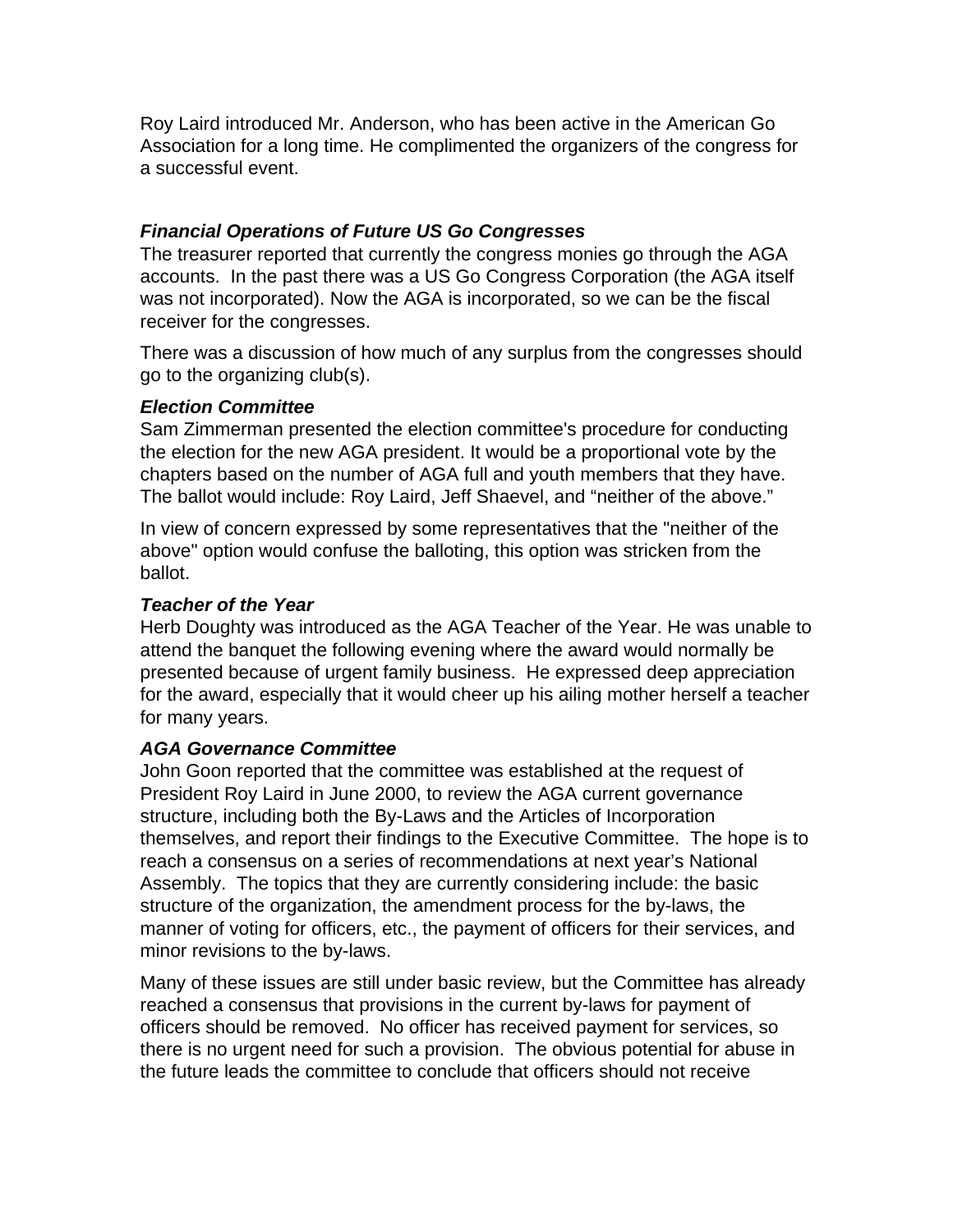Roy Laird introduced Mr. Anderson, who has been active in the American Go Association for a long time. He complimented the organizers of the congress for a successful event.

### *Financial Operations of Future US Go Congresses*

The treasurer reported that currently the congress monies go through the AGA accounts. In the past there was a US Go Congress Corporation (the AGA itself was not incorporated). Now the AGA is incorporated, so we can be the fiscal receiver for the congresses.

There was a discussion of how much of any surplus from the congresses should go to the organizing club(s).

### *Election Committee*

Sam Zimmerman presented the election committee's procedure for conducting the election for the new AGA president. It would be a proportional vote by the chapters based on the number of AGA full and youth members that they have. The ballot would include: Roy Laird, Jeff Shaevel, and "neither of the above."

In view of concern expressed by some representatives that the "neither of the above" option would confuse the balloting, this option was stricken from the ballot.

### *Teacher of the Year*

Herb Doughty was introduced as the AGA Teacher of the Year. He was unable to attend the banquet the following evening where the award would normally be presented because of urgent family business. He expressed deep appreciation for the award, especially that it would cheer up his ailing mother herself a teacher for many years.

## *AGA Governance Committee*

John Goon reported that the committee was established at the request of President Roy Laird in June 2000, to review the AGA current governance structure, including both the By-Laws and the Articles of Incorporation themselves, and report their findings to the Executive Committee. The hope is to reach a consensus on a series of recommendations at next year's National Assembly. The topics that they are currently considering include: the basic structure of the organization, the amendment process for the by-laws, the manner of voting for officers, etc., the payment of officers for their services, and minor revisions to the by-laws.

Many of these issues are still under basic review, but the Committee has already reached a consensus that provisions in the current by-laws for payment of officers should be removed. No officer has received payment for services, so there is no urgent need for such a provision. The obvious potential for abuse in the future leads the committee to conclude that officers should not receive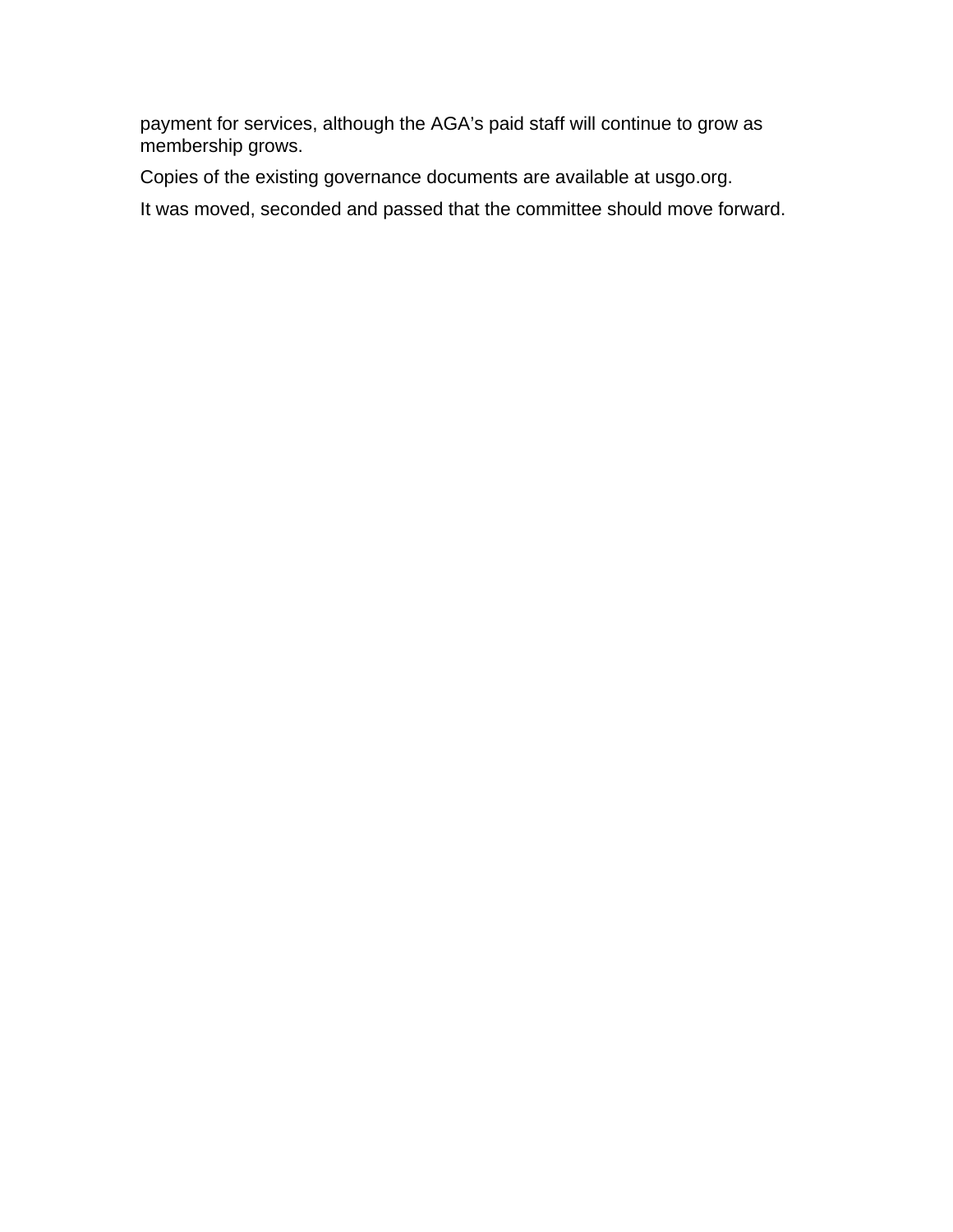payment for services, although the AGA's paid staff will continue to grow as membership grows.

Copies of the existing governance documents are available at usgo.org.

It was moved, seconded and passed that the committee should move forward.